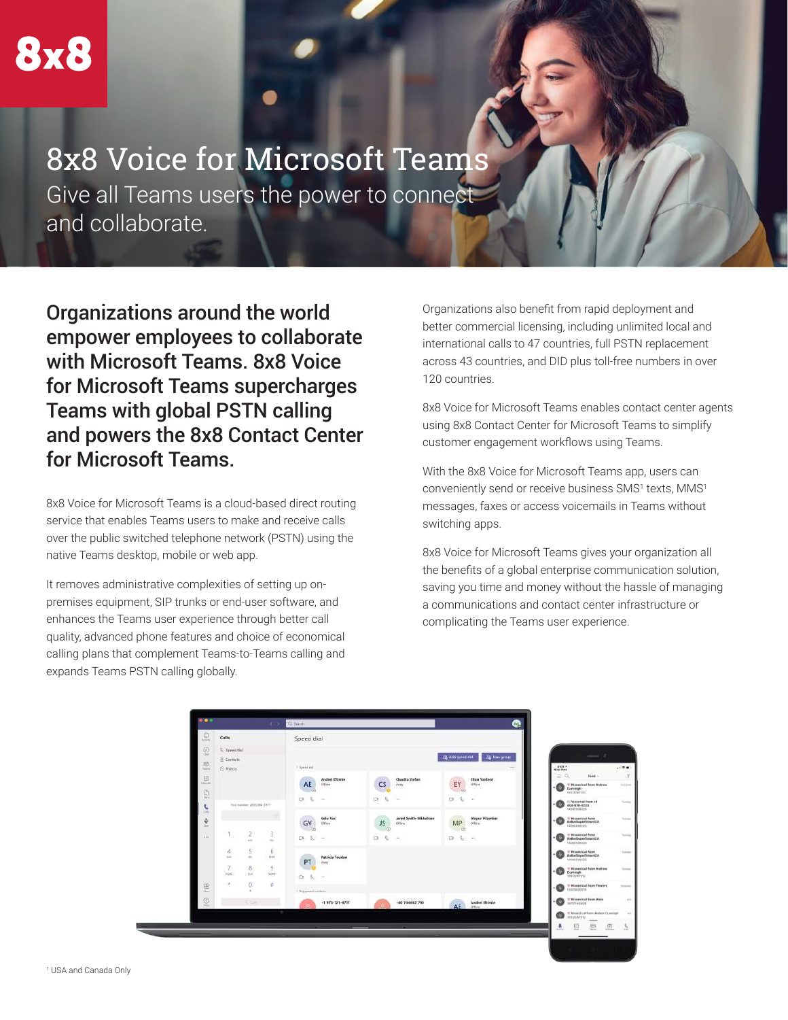## 8x8 Voice for Microsoft Teams

Give all Teams users the power to connect and collaborate.

Organizations around the world empower employees to collaborate with Microsoft Teams. 8x8 Voice for Microsoft Teams supercharges Teams with global PSTN calling and powers the 8x8 Contact Center for Microsoft Teams.

8x8 Voice for Microsoft Teams is a cloud-based direct routing service that enables Teams users to make and receive calls over the public switched telephone network (PSTN) using the native Teams desktop, mobile or web app.

It removes administrative complexities of setting up onpremises equipment, SIP trunks or end-user software, and enhances the Teams user experience through better call quality, advanced phone features and choice of economical calling plans that complement Teams-to-Teams calling and expands Teams PSTN calling globally.

Organizations also benefit from rapid deployment and better commercial licensing, including unlimited local and international calls to 47 countries, full PSTN replacement across 43 countries, and DID plus toll-free numbers in over 120 countries.

8x8 Voice for Microsoft Teams enables contact center agents using 8x8 Contact Center for Microsoft Teams to simplify customer engagement workflows using Teams.

With the 8x8 Voice for Microsoft Teams app, users can conveniently send or receive business SMS1 texts, MMS1 messages, faxes or access voicemails in Teams without switching apps.

8x8 Voice for Microsoft Teams gives your organization all the benefits of a global enterprise communication solution, saving you time and money without the hassle of managing a communications and contact center infrastructure or complicating the Teams user experience.